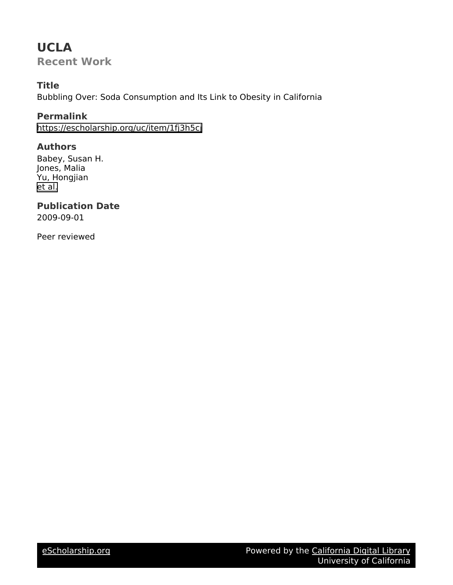# **UCLA**

**Recent Work**

# **Title**

Bubbling Over: Soda Consumption and Its Link to Obesity in California

# **Permalink**

<https://escholarship.org/uc/item/1fj3h5cj>

# **Authors**

Babey, Susan H. Jones, Malia Yu, Hongjian [et al.](https://escholarship.org/uc/item/1fj3h5cj#author)

# **Publication Date**

2009-09-01

Peer reviewed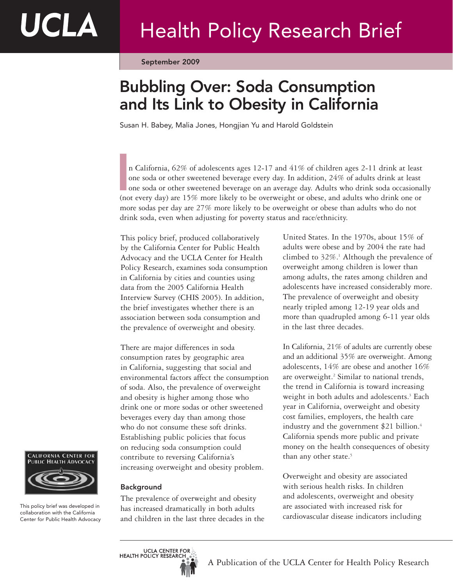September 2009

# Bubbling Over: Soda Consumption and Its Link to Obesity in California

Susan H. Babey, Malia Jones, Hongjian Yu and Harold Goldstein

n California, 62% of adolescents ages 12-17 and 41% of children ages 2-11 drink at least one soda or other sweetened beverage every day. In addition, 24% of adults drink at least one soda or other sweetened beverage on an average day. Adults who drink soda occasionally n California, 62% of adolescents ages 12-17 and 41% of children ages 2-11 drink at least<br>one soda or other sweetened beverage every day. In addition, 24% of adults drink at least<br>one soda or other sweetened beverage on an more sodas per day are 27% more likely to be overweight or obese than adults who do not drink soda, even when adjusting for poverty status and race/ethnicity.

This policy brief, produced collaboratively by the California Center for Public Health Advocacy and the UCLA Center for Health Policy Research, examines soda consumption in California by cities and counties using data from the 2005 California Health Interview Survey (CHIS 2005). In addition, the brief investigates whether there is an association between soda consumption and the prevalence of overweight and obesity.

There are major differences in soda consumption rates by geographic area in California, suggesting that social and environmental factors affect the consumption of soda. Also, the prevalence of overweight and obesity is higher among those who drink one or more sodas or other sweetened beverages every day than among those who do not consume these soft drinks. Establishing public policies that focus on reducing soda consumption could contribute to reversing California's increasing overweight and obesity problem.



This policy brief was developed in collaboration with the California Center for Public Health Advocacy

# Background

The prevalence of overweight and obesity has increased dramatically in both adults and children in the last three decades in the United States. In the 1970s, about 15% of adults were obese and by 2004 the rate had climbed to 32%.1 Although the prevalence of overweight among children is lower than among adults, the rates among children and adolescents have increased considerably more. The prevalence of overweight and obesity nearly tripled among 12-19 year olds and more than quadrupled among 6-11 year olds in the last three decades.

In California, 21% of adults are currently obese and an additional 35% are overweight. Among adolescents, 14% are obese and another 16% are overweight.<sup>2</sup> Similar to national trends, the trend in California is toward increasing weight in both adults and adolescents.<sup>3</sup> Each year in California, overweight and obesity cost families, employers, the health care industry and the government \$21 billion.<sup>4</sup> California spends more public and private money on the health consequences of obesity than any other state.<sup>5</sup>

Overweight and obesity are associated with serious health risks. In children and adolescents, overweight and obesity are associated with increased risk for cardiovascular disease indicators including

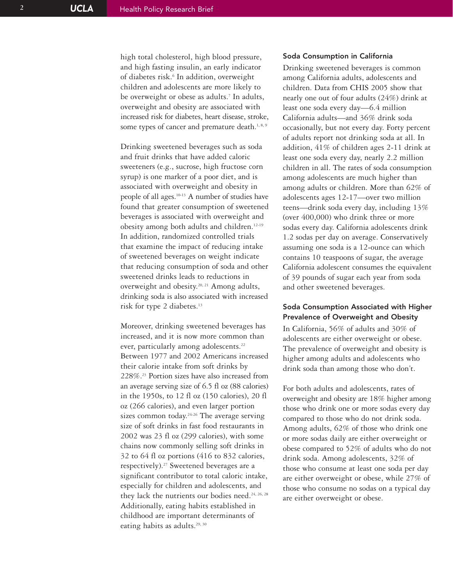high total cholesterol, high blood pressure, and high fasting insulin, an early indicator of diabetes risk. <sup>6</sup> In addition, overweight children and adolescents are more likely to be overweight or obese as adults. <sup>7</sup> In adults, overweight and obesity are associated with increased risk for diabetes, heart disease, stroke, some types of cancer and premature death.<sup>1, 8, 9</sup>

Drinking sweetened beverages such as soda and fruit drinks that have added caloric sweeteners (e.g., sucrose, high fructose corn syrup) is one marker of a poor diet, and is associated with overweight and obesity in people of all ages.10-13 A number of studies have found that greater consumption of sweetened beverages is associated with overweight and obesity among both adults and children.12-19 In addition, randomized controlled trials that examine the impact of reducing intake of sweetened beverages on weight indicate that reducing consumption of soda and other sweetened drinks leads to reductions in overweight and obesity.20, 21 Among adults, drinking soda is also associated with increased risk for type 2 diabetes.<sup>13</sup>

Moreover, drinking sweetened beverages has increased, and it is now more common than ever, particularly among adolescents.<sup>22</sup> Between 1977 and 2002 Americans increased their calorie intake from soft drinks by 228%.23 Portion sizes have also increased from an average serving size of 6.5 fl oz (88 calories) in the 1950s, to 12 fl oz (150 calories), 20 fl oz (266 calories), and even larger portion sizes common today.<sup>24-26</sup> The average serving size of soft drinks in fast food restaurants in 2002 was 23 fl oz (299 calories), with some chains now commonly selling soft drinks in 32 to 64 fl oz portions (416 to 832 calories, respectively).27 Sweetened beverages are a significant contributor to total caloric intake, especially for children and adolescents, and they lack the nutrients our bodies need.<sup>24, 26, 28</sup> Additionally, eating habits established in childhood are important determinants of eating habits as adults.<sup>29, 30</sup>

### Soda Consumption in California

Drinking sweetened beverages is common among California adults, adolescents and children. Data from CHIS 2005 show that nearly one out of four adults (24%) drink at least one soda every day—6.4 million California adults—and 36% drink soda occasionally, but not every day. Forty percent of adults report not drinking soda at all. In addition, 41% of children ages 2-11 drink at least one soda every day, nearly 2.2 million children in all. The rates of soda consumption among adolescents are much higher than among adults or children. More than 62% of adolescents ages 12-17—over two million teens—drink soda every day, including 13% (over 400,000) who drink three or more sodas every day. California adolescents drink 1.2 sodas per day on average. Conservatively assuming one soda is a 12-ounce can which contains 10 teaspoons of sugar, the average California adolescent consumes the equivalent of 39 pounds of sugar each year from soda and other sweetened beverages.

# Soda Consumption Associated with Higher Prevalence of Overweight and Obesity

In California, 56% of adults and 30% of adolescents are either overweight or obese. The prevalence of overweight and obesity is higher among adults and adolescents who drink soda than among those who don't.

For both adults and adolescents, rates of overweight and obesity are 18% higher among those who drink one or more sodas every day compared to those who do not drink soda. Among adults, 62% of those who drink one or more sodas daily are either overweight or obese compared to 52% of adults who do not drink soda. Among adolescents, 32% of those who consume at least one soda per day are either overweight or obese, while 27% of those who consume no sodas on a typical day are either overweight or obese.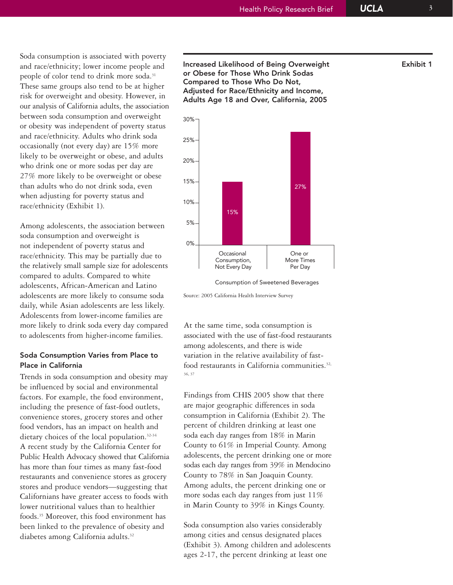Soda consumption is associated with poverty and race/ethnicity; lower income people and people of color tend to drink more soda.<sup>31</sup> These same groups also tend to be at higher risk for overweight and obesity. However, in our analysis of California adults, the association between soda consumption and overweight or obesity was independent of poverty status and race/ethnicity. Adults who drink soda occasionally (not every day) are 15% more likely to be overweight or obese, and adults who drink one or more sodas per day are 27% more likely to be overweight or obese than adults who do not drink soda, even when adjusting for poverty status and race/ethnicity (Exhibit 1).

Among adolescents, the association between soda consumption and overweight is not independent of poverty status and race/ethnicity. This may be partially due to the relatively small sample size for adolescents compared to adults. Compared to white adolescents, African-American and Latino adolescents are more likely to consume soda daily, while Asian adolescents are less likely. Adolescents from lower-income families are more likely to drink soda every day compared to adolescents from higher-income families.

# Soda Consumption Varies from Place to Place in California

Trends in soda consumption and obesity may be influenced by social and environmental factors. For example, the food environment, including the presence of fast-food outlets, convenience stores, grocery stores and other food vendors, has an impact on health and dietary choices of the local population.<sup>32-34</sup> A recent study by the California Center for Public Health Advocacy showed that California has more than four times as many fast-food restaurants and convenience stores as grocery stores and produce vendors—suggesting that Californians have greater access to foods with lower nutritional values than to healthier foods.35 Moreover, this food environment has been linked to the prevalence of obesity and diabetes among California adults.<sup>32</sup>

Increased Likelihood of Being Overweight Factor Exhibit 1 or Obese for Those Who Drink Sodas Compared to Those Who Do Not, Adjusted for Race/Ethnicity and Income, Adults Age 18 and Over, California, 2005



Consumption of Sweetened Beverages

Source: 2005 California Health Interview Survey

At the same time, soda consumption is associated with the use of fast-food restaurants among adolescents, and there is wide variation in the relative availability of fastfood restaurants in California communities.<sup>32,</sup> 36, 37

Findings from CHIS 2005 show that there are major geographic differences in soda consumption in California (Exhibit 2). The percent of children drinking at least one soda each day ranges from 18% in Marin County to 61% in Imperial County. Among adolescents, the percent drinking one or more sodas each day ranges from 39% in Mendocino County to 78% in San Joaquin County. Among adults, the percent drinking one or more sodas each day ranges from just  $11\%$ in Marin County to 39% in Kings County.

Soda consumption also varies considerably among cities and census designated places (Exhibit 3). Among children and adolescents ages 2-17, the percent drinking at least one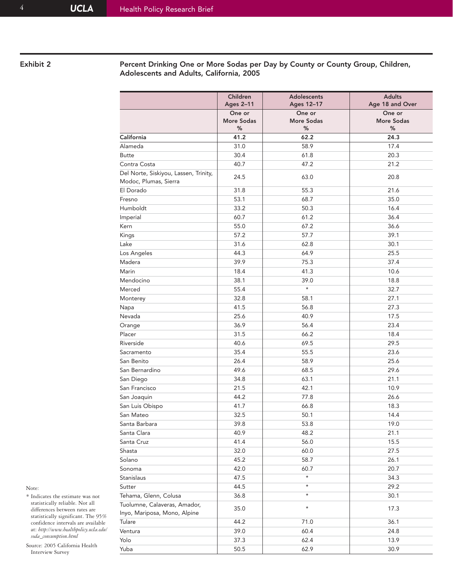Exhibit 2 **Percent Drinking One or More Sodas per Day by County or County Group, Children,** Adolescents and Adults, California, 2005

|                                                                | Children<br><b>Ages 2-11</b>     | <b>Adolescents</b><br>Ages 12-17 | <b>Adults</b><br>Age 18 and Over |
|----------------------------------------------------------------|----------------------------------|----------------------------------|----------------------------------|
|                                                                | One or<br><b>More Sodas</b><br>% | One or<br>More Sodas<br>%        | One or<br><b>More Sodas</b><br>% |
| California                                                     | 41.2                             | 62.2                             | 24.3                             |
| Alameda                                                        | 31.0                             | 58.9                             | 17.4                             |
| <b>Butte</b>                                                   | 30.4                             | 61.8                             | 20.3                             |
| Contra Costa                                                   | 40.7                             | 47.2                             | 21.2                             |
| Del Norte, Siskiyou, Lassen, Trinity,<br>Modoc, Plumas, Sierra | 24.5                             | 63.0                             | 20.8                             |
| El Dorado                                                      | 31.8                             | 55.3                             | 21.6                             |
| Fresno                                                         | 53.1                             | 68.7                             | 35.0                             |
| Humboldt                                                       | 33.2                             | 50.3                             | 16.4                             |
| Imperial                                                       | 60.7                             | 61.2                             | 36.4                             |
| Kern                                                           | 55.0                             | 67.2                             | 36.6                             |
| Kings                                                          | 57.2                             | 57.7                             | 39.1                             |
| Lake                                                           | 31.6                             | 62.8                             | 30.1                             |
| Los Angeles                                                    | 44.3                             | 64.9                             | 25.5                             |
| Madera                                                         | 39.9                             | 75.3                             | 37.4                             |
| Marin                                                          | 18.4                             | 41.3                             | 10.6                             |
| Mendocino                                                      | 38.1                             | 39.0                             | 18.8                             |
| Merced                                                         | 55.4                             | $\star$                          | 32.7                             |
| Monterey                                                       | 32.8                             | 58.1                             | 27.1                             |
| Napa                                                           | 41.5                             | 56.8                             | 27.3                             |
| Nevada                                                         | 25.6                             | 40.9                             | 17.5                             |
| Orange                                                         | 36.9                             | 56.4                             | 23.4                             |
| Placer                                                         | 31.5                             | 66.2                             | 18.4                             |
| Riverside                                                      | 40.6                             | 69.5                             | 29.5                             |
| Sacramento                                                     | 35.4                             | 55.5                             | 23.6                             |
| San Benito                                                     | 26.4                             | 58.9                             | 25.6                             |
| San Bernardino                                                 | 49.6                             | 68.5                             | 29.6                             |
| San Diego                                                      | 34.8                             | 63.1                             | 21.1                             |
| San Francisco                                                  | 21.5                             | 42.1                             | 10.9                             |
| San Joaquin                                                    | 44.2                             | 77.8                             | 26.6                             |
| San Luis Obispo                                                | 41.7                             | 66.8                             | 18.3                             |
| San Mateo                                                      | 32.5                             | 50.1                             | 14.4                             |
| Santa Barbara                                                  | 39.8                             | 53.8                             | 19.0                             |
| Santa Clara                                                    | 40.9                             | 48.2                             | 21.1                             |
| Santa Cruz                                                     | 41.4                             | 56.0                             | 15.5                             |
| Shasta                                                         | 32.0                             | 60.0                             | 27.5                             |
| Solano                                                         | 45.2                             | 58.7                             | 26.1                             |
| Sonoma                                                         | 42.0                             | 60.7                             | 20.7                             |
| Stanislaus                                                     | 47.5                             | $\star$                          | 34.3                             |
| Sutter                                                         | 44.5                             | $\star$                          | 29.2                             |
| Tehama, Glenn, Colusa                                          | 36.8                             | $\star$                          | 30.1                             |
| Tuolumne, Calaveras, Amador,                                   |                                  |                                  |                                  |
| Inyo, Mariposa, Mono, Alpine                                   | 35.0                             | $\star$                          | 17.3                             |
| Tulare                                                         | 44.2                             | 71.0                             | 36.1                             |
| Ventura                                                        | 39.0                             | 60.4                             | 24.8                             |
| Yolo                                                           | 37.3                             | 62.4                             | 13.9                             |
| Yuba                                                           | 50.5                             | 62.9                             | 30.9                             |
|                                                                |                                  |                                  |                                  |

## Note:

\* Indicates the estimate was not statistically reliable. Not all differences between rates are statistically significant. The 95% confidence intervals are available at: *http://www.healthpolicy.ucla.edu/ soda\_consumption.html*

Source: 2005 California Health Interview Survey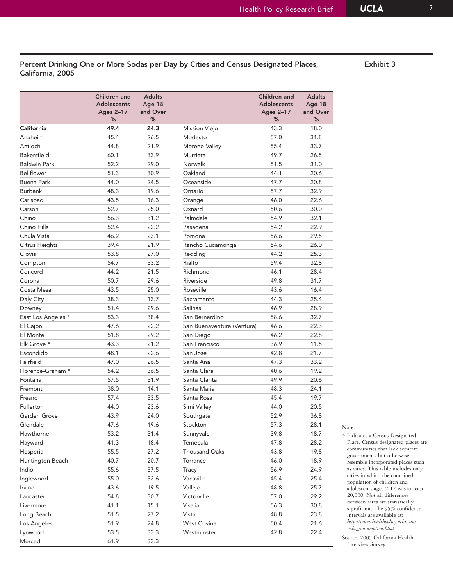# Percent Drinking One or More Sodas per Day by Cities and Census Designated Places, Exhibit 3 California, 2005

|                     | Children and<br><b>Adolescents</b><br>Ages 2-17<br>% | <b>Adults</b><br>Age 18<br>and Over<br>% |                            | Children and<br><b>Adolescents</b><br><b>Ages 2-17</b><br>% | <b>Adults</b><br>Age 18<br>and Over<br>% |
|---------------------|------------------------------------------------------|------------------------------------------|----------------------------|-------------------------------------------------------------|------------------------------------------|
| California          | 49.4                                                 | 24.3                                     | Mission Viejo              | 43.3                                                        | 18.0                                     |
| Anaheim             | 45.4                                                 | 26.5                                     | Modesto                    | 57.0                                                        | 31.8                                     |
| Antioch             | 44.8                                                 | 21.9                                     | Moreno Valley              | 55.4                                                        | 33.7                                     |
| <b>Bakersfield</b>  | 60.1                                                 | 33.9                                     | Murrieta                   | 49.7                                                        | 26.5                                     |
| <b>Baldwin Park</b> | 52.2                                                 | 29.0                                     | Norwalk                    | 51.5                                                        | 31.0                                     |
| Bellflower          | 51.3                                                 | 30.9                                     | Oakland                    | 44.1                                                        | 20.6                                     |
| <b>Buena Park</b>   | 44.0                                                 | 24.5                                     | Oceanside                  | 47.7                                                        | 20.8                                     |
| <b>Burbank</b>      | 48.3                                                 | 19.6                                     | Ontario                    | 57.7                                                        | 32.9                                     |
| Carlsbad            | 43.5                                                 | 16.3                                     | Orange                     | 46.0                                                        | 22.6                                     |
| Carson              | 52.7                                                 | 25.0                                     | Oxnard                     | 50.6                                                        | 30.0                                     |
| Chino               | 56.3                                                 | 31.2                                     | Palmdale                   | 54.9                                                        | 32.1                                     |
| Chino Hills         | 52.4                                                 | 22.2                                     | Pasadena                   | 54.2                                                        | 22.9                                     |
| Chula Vista         | 46.2                                                 | 23.1                                     | Pomona                     | 56.6                                                        | 29.5                                     |
| Citrus Heights      | 39.4                                                 | 21.9                                     | Rancho Cucamonga           | 54.6                                                        | 26.0                                     |
| Clovis              | 53.8                                                 | 27.0                                     | Redding                    | 44.2                                                        | 25.3                                     |
| Compton             | 54.7                                                 | 33.2                                     | Rialto                     | 59.4                                                        | 32.8                                     |
| Concord             | 44.2                                                 | 21.5                                     | Richmond                   | 46.1                                                        | 28.4                                     |
| Corona              | 50.7                                                 | 29.6                                     | Riverside                  | 49.8                                                        | 31.7                                     |
| Costa Mesa          | 43.5                                                 | 25.0                                     | Roseville                  | 43.6                                                        | 16.4                                     |
| Daly City           | 38.3                                                 | 13.7                                     | Sacramento                 | 44.3                                                        | 25.4                                     |
| Downey              | 51.4                                                 | 29.6                                     | Salinas                    | 46.9                                                        | 28.9                                     |
| East Los Angeles *  | 53.3                                                 | 38.4                                     | San Bernardino             | 58.6                                                        | 32.7                                     |
| El Cajon            | 47.6                                                 | 22.2                                     | San Buenaventura (Ventura) | 46.6                                                        | 22.3                                     |
| El Monte            | 51.8                                                 | 29.2                                     | San Diego                  | 46.2                                                        | 22.8                                     |
| Elk Grove *         | 43.3                                                 | 21.2                                     | San Francisco              | 36.9                                                        | 11.5                                     |
| Escondido           | 48.1                                                 | 22.6                                     | San Jose                   | 42.8                                                        | 21.7                                     |
| Fairfield           | 47.0                                                 | 26.5                                     | Santa Ana                  | 47.3                                                        | 33.2                                     |
| Florence-Graham *   | 54.2                                                 | 36.5                                     | Santa Clara                | 40.6                                                        | 19.2                                     |
| Fontana             | 57.5                                                 | 31.9                                     | Santa Clarita              | 49.9                                                        | 20.6                                     |
| Fremont             | 38.0                                                 | 14.1                                     | Santa Maria                | 48.3                                                        | 24.1                                     |
| Fresno              | 57.4                                                 | 33.5                                     | Santa Rosa                 | 45.4                                                        | 19.7                                     |
| Fullerton           | 44.0                                                 | 23.6                                     | Simi Valley                | 44.0                                                        | 20.5                                     |
| Garden Grove        | 43.9                                                 | 24.0                                     | Southgate                  | 52.9                                                        | 36.8                                     |
| Glendale            | 47.6                                                 | 19.6                                     | Stockton                   | 57.3                                                        | 28.1                                     |
| Hawthorne           | 53.2                                                 | 31.4                                     | Sunnyvale                  | 39.8                                                        | 18.7                                     |
| Hayward             | 41.3                                                 | 18.4                                     | Temecula                   | 47.8                                                        | 28.2                                     |
| Hesperia            | 55.5                                                 | 27.2                                     | Thousand Oaks              | 43.8                                                        | 19.8                                     |
| Huntington Beach    | 40.7                                                 | 20.7                                     | Torrance                   | 46.0                                                        | 18.9                                     |
| Indio               | 55.6                                                 | 37.5                                     | Tracy                      | 56.9                                                        | 24.9                                     |
| Inglewood           | 55.0                                                 | 32.6                                     | Vacaville                  | 45.4                                                        | 25.4                                     |
| Irvine              | 43.6                                                 | 19.5                                     | Vallejo                    | 48.8                                                        | 25.7                                     |
| Lancaster           | 54.8                                                 | 30.7                                     | Victorville                | 57.0                                                        | 29.2                                     |
| Livermore           | 41.1                                                 | 15.1                                     | Visalia                    | 56.3                                                        | 30.8                                     |
| Long Beach          | 51.5                                                 | 27.2                                     | Vista                      | 48.8                                                        | 23.8                                     |
| Los Angeles         | 51.9                                                 | 24.8                                     | West Covina                | 50.4                                                        | 21.6                                     |
| Lynwood             | 53.5                                                 | 33.3                                     | Westminster                | 42.8                                                        | 22.4                                     |
| Merced              | 61.9                                                 | 33.3                                     |                            |                                                             |                                          |

# Note:

\* Indicates a Census Designated Place. Census designated places are communities that lack separate governments but otherwise resemble incorporated places such as cities. This table includes only cities in which the combined population of children and adolescents ages 2-17 was at least 20,000. Not all differences between rates are statistically significant. The 95% confidence intervals are available at: *http://www.healthpolicy.ucla.edu/ soda\_consumption.html*

Source: 2005 California Health Interview Survey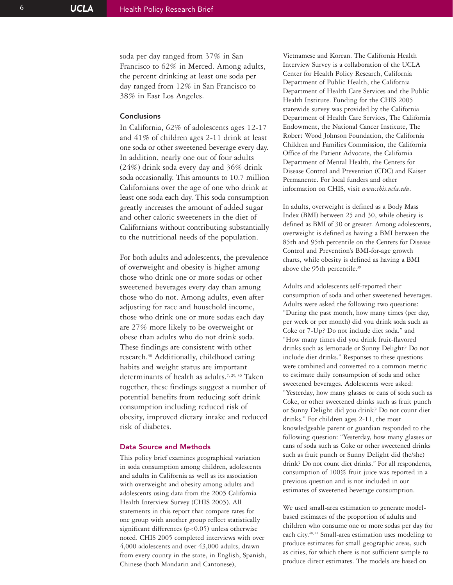soda per day ranged from 37% in San Francisco to 62% in Merced. Among adults, the percent drinking at least one soda per day ranged from 12% in San Francisco to 38% in East Los Angeles.

## **Conclusions**

In California, 62% of adolescents ages 12-17 and 41% of children ages 2-11 drink at least one soda or other sweetened beverage every day. In addition, nearly one out of four adults (24%) drink soda every day and 36% drink soda occasionally. This amounts to 10.7 million Californians over the age of one who drink at least one soda each day. This soda consumption greatly increases the amount of added sugar and other caloric sweeteners in the diet of Californians without contributing substantially to the nutritional needs of the population.

For both adults and adolescents, the prevalence of overweight and obesity is higher among those who drink one or more sodas or other sweetened beverages every day than among those who do not. Among adults, even after adjusting for race and household income, those who drink one or more sodas each day are 27% more likely to be overweight or obese than adults who do not drink soda. These findings are consistent with other research.38 Additionally, childhood eating habits and weight status are important determinants of health as adults.<sup>7, 29, 30</sup> Taken together, these findings suggest a number of potential benefits from reducing soft drink consumption including reduced risk of obesity, improved dietary intake and reduced risk of diabetes.

## Data Source and Methods

This policy brief examines geographical variation in soda consumption among children, adolescents and adults in California as well as its association with overweight and obesity among adults and adolescents using data from the 2005 California Health Interview Survey (CHIS 2005). All statements in this report that compare rates for one group with another group reflect statistically significant differences  $(p<0.05)$  unless otherwise noted. CHIS 2005 completed interviews with over 4,000 adolescents and over 43,000 adults, drawn from every county in the state, in English, Spanish, Chinese (both Mandarin and Cantonese),

Vietnamese and Korean. The California Health Interview Survey is a collaboration of the UCLA Center for Health Policy Research, California Department of Public Health, the California Department of Health Care Services and the Public Health Institute. Funding for the CHIS 2005 statewide survey was provided by the California Department of Health Care Services, The California Endowment, the National Cancer Institute, The Robert Wood Johnson Foundation, the California Children and Families Commission, the California Office of the Patient Advocate, the California Department of Mental Health, the Centers for Disease Control and Prevention (CDC) and Kaiser Permanente. For local funders and other information on CHIS, visit *www.chis.ucla.edu* .

In adults, overweight is defined as a Body Mass Index (BMI) between 25 and 30, while obesity is defined as BMI of 30 or greater. Among adolescents, overweight is defined as having a BMI between the 85th and 95th percentile on the Centers for Disease Control and Prevention's BMI-for-age growth charts, while obesity is defined as having a BMI above the 95th percentile.<sup>39</sup>

Adults and adolescents self-reported their consumption of soda and other sweetened beverages. Adults were asked the following two questions: "During the past month, how many times (per day, per week or per month) did you drink soda such as Coke or 7-Up? Do not include diet soda." and "How many times did you drink fruit-flavored drinks such as lemonade or Sunny Delight? Do not include diet drinks." Responses to these questions were combined and converted to a common metric to estimate daily consumption of soda and other sweetened beverages. Adolescents were asked: "Yesterday, how many glasses or cans of soda such as Coke, or other sweetened drinks such as fruit punch or Sunny Delight did you drink? Do not count diet drinks." For children ages 2-11, the most knowledgeable parent or guardian responded to the following question: "Yesterday, how many glasses or cans of soda such as Coke or other sweetened drinks such as fruit punch or Sunny Delight did (he/she) drink? Do not count diet drinks." For all respondents, consumption of 100% fruit juice was reported in a previous question and is not included in our estimates of sweetened beverage consumption.

We used small-area estimation to generate modelbased estimates of the proportion of adults and children who consume one or more sodas per day for each city.<sup>40, 41</sup> Small-area estimation uses modeling to produce estimates for small geographic areas, such as cities, for which there is not sufficient sample to produce direct estimates. The models are based on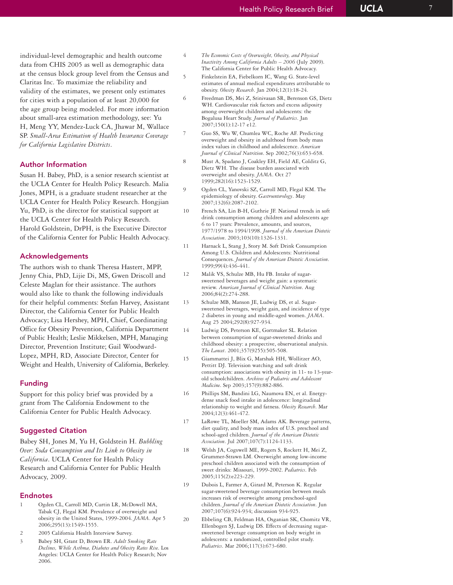individual-level demographic and health outcome data from CHIS 2005 as well as demographic data at the census block group level from the Census and Claritas Inc. To maximize the reliability and validity of the estimates, we present only estimates for cities with a population of at least 20,000 for the age group being modeled. For more information about small-area estimation methodology, see: Yu H, Meng YY, Mendez-Luck CA, Jhawar M, Wallace SP. *Small-Area Estimation of Health Insurance Coverage for California Legislative Districts* .

## Author Information

Susan H. Babey, PhD, is a senior research scientist at the UCLA Center for Health Policy Research. Malia Jones, MPH, is a graduate student researcher at the UCLA Center for Health Policy Research. Hongjian Yu, PhD, is the director for statistical support at the UCLA Center for Health Policy Research. Harold Goldstein, DrPH, is the Executive Director of the California Center for Public Health Advocacy.

## Acknowledgements

The authors wish to thank Theresa Hastert, MPP, Jenny Chia, PhD, Lijie Di, MS, Gwen Driscoll and Celeste Maglan for their assistance. The authors would also like to thank the following individuals for their helpful comments: Stefan Harvey, Assistant Director, the California Center for Public Health Advocacy; Lisa Hershey, MPH, Chief, Coordinating Office for Obesity Prevention, California Department of Public Health; Leslie Mikkelsen, MPH, Managing Director, Prevention Institute; Gail Woodward-Lopez, MPH, RD, Associate Director, Center for Weight and Health, University of California, Berkeley.

#### Funding

Support for this policy brief was provided by a grant from The California Endowment to the California Center for Public Health Advocacy.

#### Suggested Citation

Babey SH, Jones M, Yu H, Goldstein H. *Bubbling Over: Soda Consumption and Its Link to Obesity in California*. UCLA Center for Health Policy Research and California Center for Public Health Advocacy, 2009.

#### Endnotes

- 1 Ogden CL, Carroll MD, Curtin LR, McDowell MA, Tabak CJ, Flegal KM. Prevalence of overweight and obesity in the United States, 1999-2004. *JAMA*. Apr 5 2006;295(13):1549-1555.
- 2 2005 California Health Interview Survey.
- 3 Babey SH, Grant D, Brown ER. *Adult Smoking Rate Declines, While Asthma, Diabetes and Obesity Rates Rise*. Los Angeles: UCLA Center for Health Policy Research; Nov 2006.
- 4 *The Economic Costs of Overweight, Obesity, and Physical Inactivity Among California Adults – 2006* (July 2009). The California Center for Public Health Advocacy.
- 5 Finkelstein EA, Fiebelkorn IC, Wang G. State-level estimates of annual medical expenditures attributable to obesity. *Obesity Research*. Jan 2004;12(1):18-24.
- 6 Freedman DS, Mei Z, Srinivasan SR, Berenson GS, Dietz WH. Cardiovascular risk factors and excess adiposity among overweight children and adolescents: the Bogalusa Heart Study. *Journal of Pediatrics*. Jan 2007;150(1):12-17 e12.
- 7 Guo SS, Wu W, Chumlea WC, Roche AF. Predicting overweight and obesity in adulthood from body mass index values in childhood and adolescence. *American Journal of Clinical Nutrition*. Sep 2002;76(3):653-658.
- 8 Must A, Spadano J, Coakley EH, Field AE, Colditz G, Dietz WH. The disease burden associated with overweight and obesity. *JAMA*. Oct 27 1999;282(16):1523-1529.
- 9 Ogden CL, Yanovski SZ, Carroll MD, Flegal KM. The epidemiology of obesity. *Gastroenterology*. May 2007;132(6):2087-2102.
- 10 French SA, Lin B-H, Guthrie JF. National trends in soft drink consumption among children and adolescents age 6 to 17 years: Prevalence, amounts, and sources, 1977/1978 to 1994/1998. *Journal of the American Dietetic Association*. 2003;103(10):1326-1331.
- 11 Harnack L, Stang J, Story M. Soft Drink Consumption Among U.S. Children and Adolescents: Nutritional Consequences. *Journal of the American Dietetic Association* . 1999;99(4):436-441.
- 12 Malik VS, Schulze MB, Hu FB. Intake of sugarsweetened beverages and weight gain: a systematic review. *American Journal of Clinical Nutrition*. Aug 2006;84(2):274-288.
- 13 Schulze MB, Manson JE, Ludwig DS, et al. Sugarsweetened beverages, weight gain, and incidence of type 2 diabetes in young and middle-aged women. *JAMA* . Aug 25 2004;292(8):927-934.
- 14 Ludwig DS, Peterson KE, Gortmaker SL. Relation between consumption of sugar-sweetened drinks and childhood obesity: a prospective, observational analysis. *The Lancet*. 2001;357(9255):505-508.
- 15 Giammattei J, Blix G, Marshak HH, Wollitzer AO, Pettitt DJ. Television watching and soft drink consumption: associations with obesity in 11- to 13-yearold schoolchildren. *Archives of Pediatric and Adolescent Medicine*. Sep 2003;157(9):882-886.
- 16 Phillips SM, Bandini LG, Naumova EN, et al. Energydense snack food intake in adolescence: longitudinal relationship to weight and fatness. *Obesity Research*. Mar 2004;12(3):461-472.
- 17 LaRowe TL, Moeller SM, Adams AK. Beverage patterns, diet quality, and body mass index of U.S. preschool and school-aged children. *Journal of the American Dietetic Association*. Jul 2007;107(7):1124-1133.
- 18 Welsh JA, Cogswell ME, Rogers S, Rockett H, Mei Z, Grummer-Strawn LM. Overweight among low-income preschool children associated with the consumption of sweet drinks: Missouri, 1999-2002. *Pediatrics*. Feb 2005;115(2):e223-229.
- 19 Dubois L, Farmer A, Girard M, Peterson K. Regular sugar-sweetened beverage consumption between meals increases risk of overweight among preschool-aged children. *Journal of the American Dietetic Association*. Jun 2007;107(6):924-934; discussion 934-925.
- 20 Ebbeling CB, Feldman HA, Osganian SK, Chomitz VR, Ellenbogen SJ, Ludwig DS. Effects of decreasing sugarsweetened beverage consumption on body weight in adolescents: a randomized, controlled pilot study. *Pediatrics*. Mar 2006;117(3):673-680.

**UCLA**